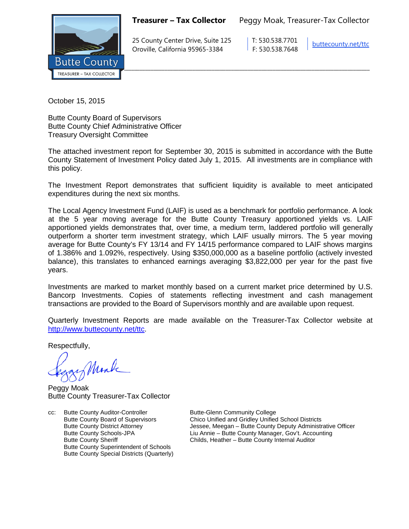**Treasurer – Tax Collector** Peggy Moak, Treasurer-Tax Collector



25 County Center Drive, Suite 125 T: 530.538.7701 Oroville, California 95965-3384 F: 530.538.7648

[buttecounty.net/t](http://www.buttecounty.net/administration)tc

October 15, 2015

Butte County Board of Supervisors Butte County Chief Administrative Officer Treasury Oversight Committee

The attached investment report for September 30, 2015 is submitted in accordance with the Butte County Statement of Investment Policy dated July 1, 2015. All investments are in compliance with this policy.

The Investment Report demonstrates that sufficient liquidity is available to meet anticipated expenditures during the next six months.

The Local Agency Investment Fund (LAIF) is used as a benchmark for portfolio performance. A look at the 5 year moving average for the Butte County Treasury apportioned yields vs. LAIF apportioned yields demonstrates that, over time, a medium term, laddered portfolio will generally outperform a shorter term investment strategy, which LAIF usually mirrors. The 5 year moving average for Butte County's FY 13/14 and FY 14/15 performance compared to LAIF shows margins of 1.386% and 1.092%, respectively. Using \$350,000,000 as a baseline portfolio (actively invested balance), this translates to enhanced earnings averaging \$3,822,000 per year for the past five years.

Investments are marked to market monthly based on a current market price determined by U.S. Bancorp Investments. Copies of statements reflecting investment and cash management transactions are provided to the Board of Supervisors monthly and are available upon request.

Quarterly Investment Reports are made available on the Treasurer-Tax Collector website at <http://www.buttecounty.net/ttc>

Respectfully,

Monk

Peggy Moak Butte County Treasurer-Tax Collector

cc: Butte County Auditor-Controller **Butte-Glenn Community College** Butte County Superintendent of Schools Butte County Special Districts (Quarterly)

Butte County Board of Supervisors Chico Unified and Gridley Unified School Districts<br>Butte County District Attorney Chico Chessee, Meegan – Butte County Deputy Administr Butte County District Attorney **State Attorney** Jessee, Meegan – Butte County Deputy Administrative Officer<br>Butte County Schools-JPA Liu Annie – Butte County Manager, Gov't. Accounting Butte County Schools-JPA Liu Annie – Butte County Manager, Gov't. Accounting Childs, Heather – Butte County Internal Auditor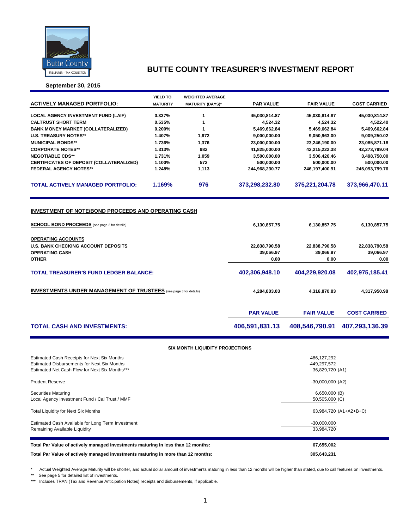

**September 30, 2015**

|                                                                                                                                                                    | <b>YIELD TO</b> | <b>WEIGHTED AVERAGE</b>                |                  |                   |                     |  |  |  |  |
|--------------------------------------------------------------------------------------------------------------------------------------------------------------------|-----------------|----------------------------------------|------------------|-------------------|---------------------|--|--|--|--|
| <b>ACTIVELY MANAGED PORTFOLIO:</b>                                                                                                                                 | <b>MATURITY</b> | <b>MATURITY (DAYS)*</b>                | <b>PAR VALUE</b> | <b>FAIR VALUE</b> | <b>COST CARRIED</b> |  |  |  |  |
| <b>LOCAL AGENCY INVESTMENT FUND (LAIF)</b>                                                                                                                         | 0.337%          | 1                                      | 45,030,814.87    | 45,030,814.87     | 45,030,814.87       |  |  |  |  |
| <b>CALTRUST SHORT TERM</b>                                                                                                                                         | 0.535%          | 1                                      | 4,524.32         | 4,524.32          | 4,522.40            |  |  |  |  |
| <b>BANK MONEY MARKET (COLLATERALIZED)</b>                                                                                                                          | 0.200%          | 1                                      | 5,469,662.84     | 5,469,662.84      | 5,469,662.84        |  |  |  |  |
| <b>U.S. TREASURY NOTES**</b>                                                                                                                                       | 1.407%          | 1,672                                  | 9,000,000.00     | 9,050,963.00      | 9,009,250.02        |  |  |  |  |
| <b>MUNICIPAL BONDS**</b>                                                                                                                                           | 1.736%          | 1,376                                  | 23,000,000.00    | 23,246,190.00     | 23,085,871.18       |  |  |  |  |
| <b>CORPORATE NOTES**</b>                                                                                                                                           | 1.313%          | 982                                    | 41,825,000.00    | 42,215,222.38     | 42,273,799.04       |  |  |  |  |
| <b>NEGOTIABLE CDS**</b>                                                                                                                                            | 1.731%          | 1,059                                  | 3,500,000.00     | 3,506,426.46      | 3,498,750.00        |  |  |  |  |
| CERTIFICATES OF DEPOSIT (COLLATERALIZED)                                                                                                                           | 1.100%          | 572                                    | 500,000.00       | 500,000.00        | 500,000.00          |  |  |  |  |
| <b>FEDERAL AGENCY NOTES**</b>                                                                                                                                      | 1.248%          | 1,113                                  | 244,968,230.77   | 246,197,400.91    | 245,093,799.76      |  |  |  |  |
| <b>TOTAL ACTIVELY MANAGED PORTFOLIO:</b>                                                                                                                           | 1.169%          | 976                                    | 373,298,232.80   | 375,221,204.78    | 373,966,470.11      |  |  |  |  |
| <b>INVESTMENT OF NOTE/BOND PROCEEDS AND OPERATING CASH</b><br><b>SCHOOL BOND PROCEEDS</b> (see page 2 for details)<br>6,130,857.75<br>6,130,857.75<br>6,130,857.75 |                 |                                        |                  |                   |                     |  |  |  |  |
| <b>OPERATING ACCOUNTS</b>                                                                                                                                          |                 |                                        |                  |                   |                     |  |  |  |  |
| <b>U.S. BANK CHECKING ACCOUNT DEPOSITS</b>                                                                                                                         |                 |                                        | 22,838,790.58    | 22,838,790.58     | 22,838,790.58       |  |  |  |  |
| <b>OPERATING CASH</b>                                                                                                                                              |                 |                                        | 39,066.97        | 39,066.97         | 39,066.97           |  |  |  |  |
| <b>OTHER</b>                                                                                                                                                       |                 |                                        | 0.00             | 0.00              | 0.00                |  |  |  |  |
| <b>TOTAL TREASURER'S FUND LEDGER BALANCE:</b>                                                                                                                      |                 | 402,306,948.10                         | 404,229,920.08   | 402,975,185.41    |                     |  |  |  |  |
| <b>INVESTMENTS UNDER MANAGEMENT OF TRUSTEES</b> (see page 3 for details)                                                                                           |                 | 4,284,883.03                           | 4,316,870.83     | 4,317,950.98      |                     |  |  |  |  |
|                                                                                                                                                                    |                 |                                        | <b>PAR VALUE</b> | <b>FAIR VALUE</b> | <b>COST CARRIED</b> |  |  |  |  |
| <b>TOTAL CASH AND INVESTMENTS:</b>                                                                                                                                 |                 |                                        | 406,591,831.13   | 408,546,790.91    | 407,293,136.39      |  |  |  |  |
|                                                                                                                                                                    |                 | <b>SIX MONTH LIQUIDITY PROJECTIONS</b> |                  |                   |                     |  |  |  |  |
|                                                                                                                                                                    |                 |                                        |                  |                   |                     |  |  |  |  |

| Estimated Cash Receipts for Next Six Months                                      | 486, 127, 292          |
|----------------------------------------------------------------------------------|------------------------|
| <b>Estimated Disbursements for Next Six Months</b>                               | -449.297.572           |
| Estimated Net Cash Flow for Next Six Months***                                   | 36,829,720 (A1)        |
| <b>Prudent Reserve</b>                                                           | $-30,000,000$ (A2)     |
| <b>Securities Maturing</b>                                                       | $6,650,000$ (B)        |
| Local Agency Investment Fund / Cal Trust / MMF                                   | 50,505,000 (C)         |
| <b>Total Liquidity for Next Six Months</b>                                       | 63,984,720 (A1+A2+B+C) |
| Estimated Cash Available for Long Term Investment                                | $-30,000,000$          |
| Remaining Available Liquidity                                                    | 33.984.720             |
| Total Par Value of actively managed investments maturing in less than 12 months: | 67,655,002             |
| Total Par Value of actively managed investments maturing in more than 12 months: | 305,643,231            |

\* Actual Weighted Average Maturity will be shorter, and actual dollar amount of investments maturing in less than 12 months will be higher than stated, due to call features on investments.

\*\* See page 5 for detailed list of investments.

\*\*\* Includes TRAN (Tax and Revenue Anticipation Notes) receipts and disbursements, if applicable.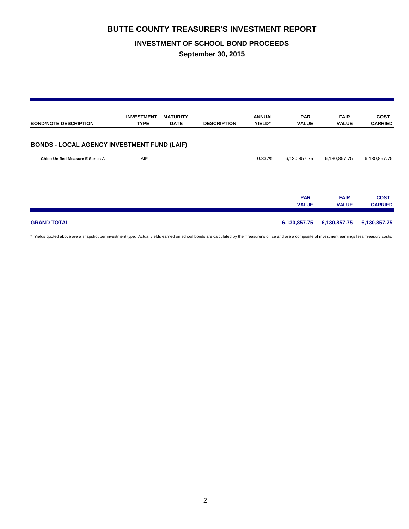### **INVESTMENT OF SCHOOL BOND PROCEEDS**

**September 30, 2015**

| <b>BOND/NOTE DESCRIPTION</b>                       | <b>INVESTMENT</b><br><b>TYPE</b> | <b>MATURITY</b><br><b>DATE</b> | <b>DESCRIPTION</b> | <b>ANNUAL</b><br>YIELD* | <b>PAR</b><br><b>VALUE</b> | <b>FAIR</b><br><b>VALUE</b> | <b>COST</b><br><b>CARRIED</b> |
|----------------------------------------------------|----------------------------------|--------------------------------|--------------------|-------------------------|----------------------------|-----------------------------|-------------------------------|
| <b>BONDS - LOCAL AGENCY INVESTMENT FUND (LAIF)</b> |                                  |                                |                    |                         |                            |                             |                               |
| <b>Chico Unified Measure E Series A</b>            | LAIF                             |                                |                    | 0.337%                  | 6,130,857.75               | 6,130,857.75                | 6,130,857.75                  |
|                                                    |                                  |                                |                    |                         | <b>PAR</b><br><b>VALUE</b> | <b>FAIR</b><br><b>VALUE</b> | <b>COST</b><br><b>CARRIED</b> |
| <b>GRAND TOTAL</b>                                 |                                  |                                |                    |                         | 6,130,857.75               | 6,130,857.75                | 6,130,857.75                  |

\* Yields quoted above are a snapshot per investment type. Actual yields earned on school bonds are calculated by the Treasurer's office and are a composite of investment earnings less Treasury costs.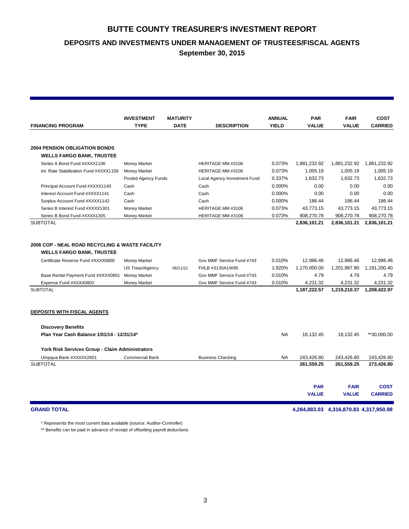**DEPOSITS AND INVESTMENTS UNDER MANAGEMENT OF TRUSTEES/FISCAL AGENTS**

**September 30, 2015**

|                                                                                                                                                                                                              | <b>INVESTMENT</b>                                                                           | <b>MATURITY</b> |                                                                                                        | <b>ANNUAL</b>                        | <b>PAR</b>                                                    | <b>FAIR</b>                                                   | <b>COST</b>                                                   |
|--------------------------------------------------------------------------------------------------------------------------------------------------------------------------------------------------------------|---------------------------------------------------------------------------------------------|-----------------|--------------------------------------------------------------------------------------------------------|--------------------------------------|---------------------------------------------------------------|---------------------------------------------------------------|---------------------------------------------------------------|
| <b>FINANCING PROGRAM</b>                                                                                                                                                                                     | <b>TYPE</b>                                                                                 | <b>DATE</b>     | <b>DESCRIPTION</b>                                                                                     | <b>YIELD</b>                         | <b>VALUE</b>                                                  | <b>VALUE</b>                                                  | <b>CARRIED</b>                                                |
|                                                                                                                                                                                                              |                                                                                             |                 |                                                                                                        |                                      |                                                               |                                                               |                                                               |
| <b>2004 PENSION OBLIGATION BONDS</b>                                                                                                                                                                         |                                                                                             |                 |                                                                                                        |                                      |                                                               |                                                               |                                                               |
| <b>WELLS FARGO BANK, TRUSTEE</b>                                                                                                                                                                             |                                                                                             |                 |                                                                                                        |                                      |                                                               |                                                               |                                                               |
| Series A Bond Fund #XXXX1106                                                                                                                                                                                 | <b>Money Market</b>                                                                         |                 | HERITAGE MM #3106                                                                                      | 0.073%                               | 1,881,232.92                                                  | 1,881,232.92                                                  | 1,881,232.92                                                  |
| Int. Rate Stabilization Fund #XXXX1109                                                                                                                                                                       | Money Market                                                                                |                 | HERITAGE MM #3106                                                                                      | 0.073%                               | 1,005.19                                                      | 1,005.19                                                      | 1,005.19                                                      |
|                                                                                                                                                                                                              | Pooled Agency Funds                                                                         |                 | Local Agency Investment Fund                                                                           | 0.337%                               | 1,632.73                                                      | 1,632.73                                                      | 1,632.73                                                      |
| Principal Account Fund #XXXX1140                                                                                                                                                                             | Cash                                                                                        |                 | Cash                                                                                                   | 0.000%                               | 0.00                                                          | 0.00                                                          | 0.00                                                          |
| Interest Account Fund #XXXX1141                                                                                                                                                                              | Cash                                                                                        |                 | Cash                                                                                                   | 0.000%                               | 0.00                                                          | 0.00                                                          | 0.00                                                          |
| Surplus Account Fund #XXXX1142                                                                                                                                                                               | Cash                                                                                        |                 | Cash                                                                                                   | 0.000%                               | 186.44                                                        | 186.44                                                        | 186.44                                                        |
| Series B Interest Fund #XXXX1301                                                                                                                                                                             | <b>Money Market</b>                                                                         |                 | HERITAGE MM #3106                                                                                      | 0.073%                               | 43.773.15                                                     | 43.773.15                                                     | 43.773.15                                                     |
| Series B Bond Fund #XXXX1305                                                                                                                                                                                 | <b>Money Market</b>                                                                         |                 | HERITAGE MM #3106                                                                                      | 0.073%                               | 908,270.78                                                    | 908,270.78                                                    | 908,270.78                                                    |
| <b>SUBTOTAL</b>                                                                                                                                                                                              |                                                                                             |                 |                                                                                                        |                                      | 2,836,101.21                                                  | 2,836,101.21                                                  | 2,836,101.21                                                  |
| 2006 COP - NEAL ROAD RECYCLING & WASTE FACILITY<br><b>WELLS FARGO BANK, TRUSTEE</b><br>Certificate Reserve Fund #XXXX0800<br>Base Rental Payment Fund #XXXX0801<br>Expense Fund #XXXX0802<br><b>SUBTOTAL</b> | <b>Money Market</b><br><b>US Treas/Agency</b><br><b>Money Market</b><br><b>Money Market</b> | 06/11/21        | Gov MMF Service Fund #743<br>FHLB #3130A1W95<br>Gov MMF Service Fund #743<br>Gov MMF Service Fund #743 | 0.010%<br>1.920%<br>0.010%<br>0.010% | 12,986.46<br>1,170,000.00<br>4.79<br>4,231.32<br>1,187,222.57 | 12,986.46<br>1,201,987.80<br>4.79<br>4,231.32<br>1,219,210.37 | 12.986.46<br>1,191,200.40<br>4.79<br>4,231.32<br>1,208,422.97 |
| <b>DEPOSITS WITH FISCAL AGENTS</b>                                                                                                                                                                           |                                                                                             |                 |                                                                                                        |                                      |                                                               |                                                               |                                                               |
| <b>Discovery Benefits</b>                                                                                                                                                                                    |                                                                                             |                 |                                                                                                        |                                      |                                                               |                                                               |                                                               |
| Plan Year Cash Balance 1/01/14 - 12/31/14*                                                                                                                                                                   |                                                                                             |                 |                                                                                                        | <b>NA</b>                            | 18,132.45                                                     | 18,132.45                                                     | **30,000.00                                                   |
| York Risk Services Group - Claim Administrators                                                                                                                                                              |                                                                                             |                 |                                                                                                        |                                      |                                                               |                                                               |                                                               |
| Umpqua Bank #XXXXX2601                                                                                                                                                                                       | <b>Commercial Bank</b>                                                                      |                 | <b>Business Checking</b>                                                                               | NA.                                  | 243,426.80                                                    | 243,426.80                                                    | 243,426.80                                                    |
| <b>SUBTOTAL</b>                                                                                                                                                                                              |                                                                                             |                 |                                                                                                        |                                      | 261,559.25                                                    | 261,559.25                                                    | 273,426.80                                                    |
|                                                                                                                                                                                                              |                                                                                             |                 |                                                                                                        |                                      |                                                               |                                                               |                                                               |
|                                                                                                                                                                                                              |                                                                                             |                 |                                                                                                        |                                      | <b>PAR</b>                                                    | <b>FAIR</b>                                                   | <b>COST</b>                                                   |
|                                                                                                                                                                                                              |                                                                                             |                 |                                                                                                        |                                      | <b>VALUE</b>                                                  | <b>VALUE</b>                                                  | <b>CARRIED</b>                                                |
|                                                                                                                                                                                                              |                                                                                             |                 |                                                                                                        |                                      |                                                               |                                                               |                                                               |

**GRAND TOTAL 4,284,883.03 4,316,870.83 4,317,950.98**

\* Represents the most current data available (source: Auditor-Controller)

\*\* Benefits can be paid in advance of receipt of offsetting payroll deductions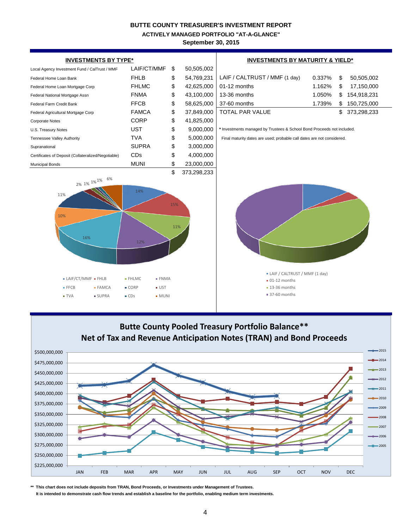**ACTIVELY MANAGED PORTFOLIO "AT-A-GLANCE"**

**September 30, 2015**





**\*\* This chart does not include deposits from TRAN, Bond Proceeds, or Investments under Management of Trustees.**

 **It is intended to demonstrate cash flow trends and establish a baseline for the portfolio, enabling medium term investments.**